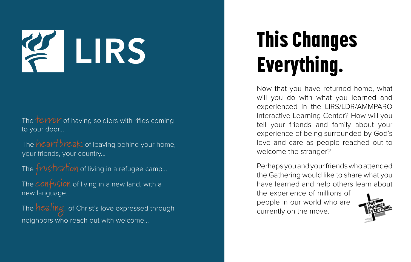## This Changes Everything.

Now that you have returned home, what will you do with what you learned and experienced in the LIRS/LDR/AMMPARO Interactive Learning Center? How will you tell your friends and family about your experience of being surrounded by God's love and care as people reached out to welcome the stranger?

The terror of having soldiers with rifles coming to your door...

The  $heartree$ ak of leaving behind your home, your friends, your country...

The *frustration* of living in a refugee camp...

Perhaps you and your friends who attended the Gathering would like to share what you have learned and help others learn about

The  $\epsilon$ *on* fusion of living in a new land, with a new language...

The *healing* of Christ's love expressed through neighbors who reach out with welcome...

the experience of millions of people in our world who are currently on the move.